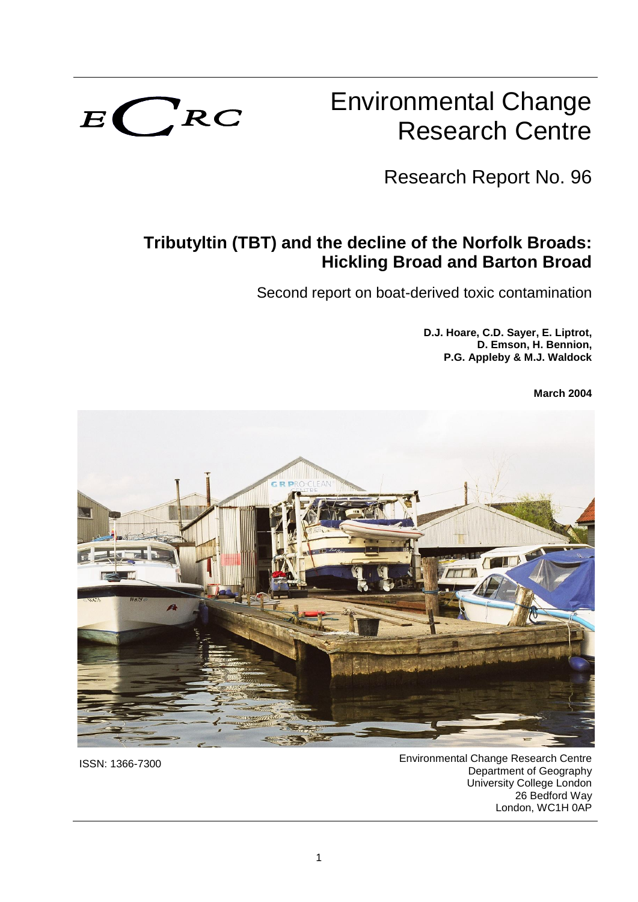

# Environmental Change Research Centre

Research Report No. 96

# **Tributyltin (TBT) and the decline of the Norfolk Broads: Hickling Broad and Barton Broad**

Second report on boat-derived toxic contamination

**D.J. Hoare, C.D. Sayer, E. Liptrot, D. Emson, H. Bennion, P.G. Appleby & M.J. Waldock**

**March 2004**



ISSN: 1366-7300 Environmental Change Research Centre Department of Geography University College London 26 Bedford Way London, WC1H 0AP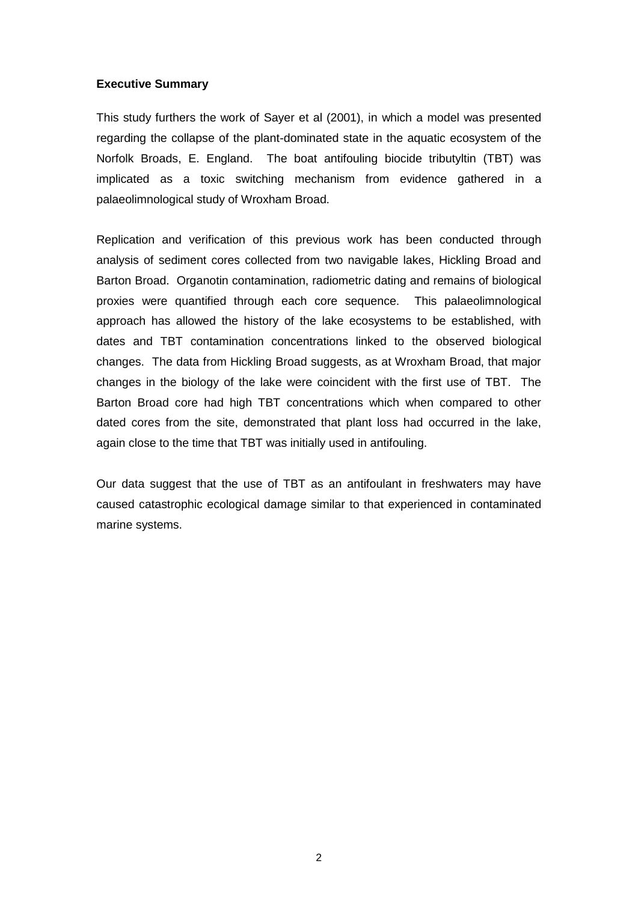#### **Executive Summary**

This study furthers the work of Sayer et al (2001), in which a model was presented regarding the collapse of the plant-dominated state in the aquatic ecosystem of the Norfolk Broads, E. England. The boat antifouling biocide tributyltin (TBT) was implicated as a toxic switching mechanism from evidence gathered in a palaeolimnological study of Wroxham Broad.

Replication and verification of this previous work has been conducted through analysis of sediment cores collected from two navigable lakes, Hickling Broad and Barton Broad. Organotin contamination, radiometric dating and remains of biological proxies were quantified through each core sequence. This palaeolimnological approach has allowed the history of the lake ecosystems to be established, with dates and TBT contamination concentrations linked to the observed biological changes. The data from Hickling Broad suggests, as at Wroxham Broad, that major changes in the biology of the lake were coincident with the first use of TBT. The Barton Broad core had high TBT concentrations which when compared to other dated cores from the site, demonstrated that plant loss had occurred in the lake, again close to the time that TBT was initially used in antifouling.

Our data suggest that the use of TBT as an antifoulant in freshwaters may have caused catastrophic ecological damage similar to that experienced in contaminated marine systems.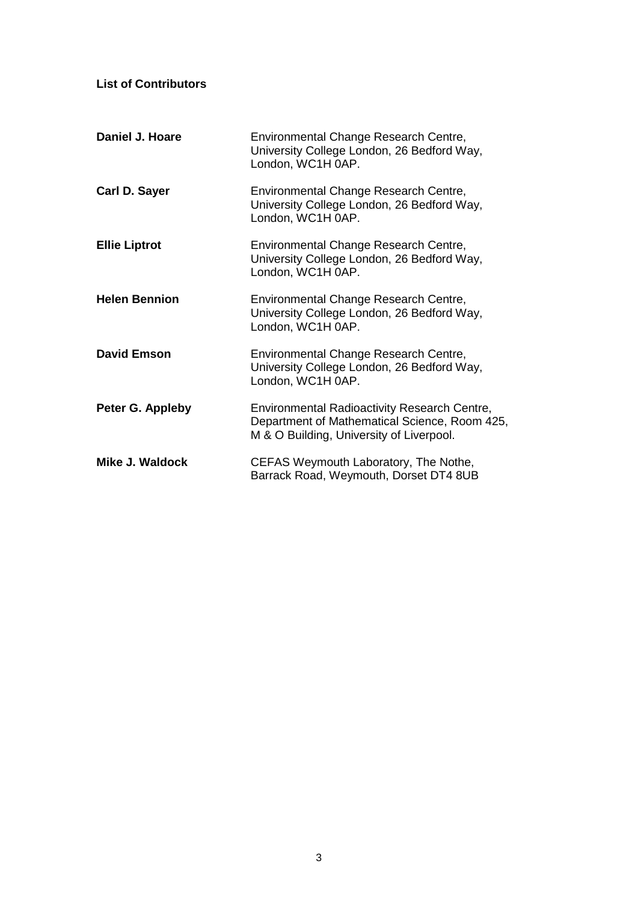| <b>List of Contributors</b> |                                                                                                                                           |
|-----------------------------|-------------------------------------------------------------------------------------------------------------------------------------------|
| <b>Daniel J. Hoare</b>      | Environmental Change Research Centre,<br>University College London, 26 Bedford Way,<br>London, WC1H 0AP.                                  |
| Carl D. Sayer               | Environmental Change Research Centre,<br>University College London, 26 Bedford Way,<br>London, WC1H 0AP.                                  |
| <b>Ellie Liptrot</b>        | Environmental Change Research Centre,<br>University College London, 26 Bedford Way,<br>London, WC1H 0AP.                                  |
| <b>Helen Bennion</b>        | Environmental Change Research Centre,<br>University College London, 26 Bedford Way,<br>London, WC1H 0AP.                                  |
| <b>David Emson</b>          | Environmental Change Research Centre,<br>University College London, 26 Bedford Way,<br>London, WC1H 0AP.                                  |
| Peter G. Appleby            | Environmental Radioactivity Research Centre,<br>Department of Mathematical Science, Room 425,<br>M & O Building, University of Liverpool. |
| Mike J. Waldock             | CEFAS Weymouth Laboratory, The Nothe,<br>Barrack Road, Weymouth, Dorset DT4 8UB                                                           |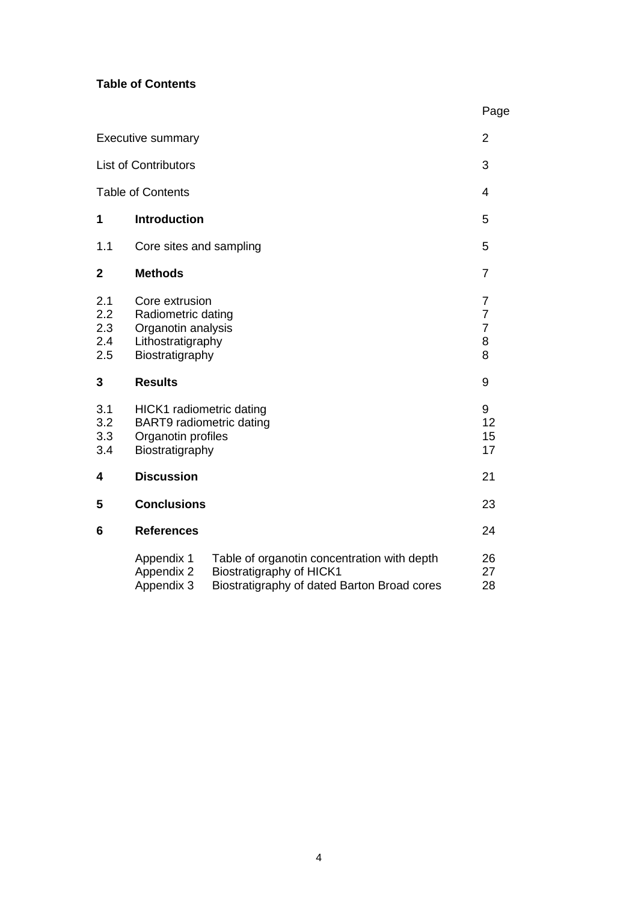#### **Table of Contents**

|                                 |                                                                                                    |                                                                                                                        | Page                                                         |
|---------------------------------|----------------------------------------------------------------------------------------------------|------------------------------------------------------------------------------------------------------------------------|--------------------------------------------------------------|
|                                 | <b>Executive summary</b>                                                                           |                                                                                                                        | $\overline{2}$                                               |
|                                 | <b>List of Contributors</b>                                                                        |                                                                                                                        | 3                                                            |
|                                 | <b>Table of Contents</b>                                                                           |                                                                                                                        | 4                                                            |
| 1                               | <b>Introduction</b>                                                                                |                                                                                                                        | 5                                                            |
| 1.1                             | Core sites and sampling                                                                            |                                                                                                                        | 5                                                            |
| $\overline{2}$                  | <b>Methods</b>                                                                                     |                                                                                                                        | $\overline{7}$                                               |
| 2.1<br>2.2<br>2.3<br>2.4<br>2.5 | Core extrusion<br>Radiometric dating<br>Organotin analysis<br>Lithostratigraphy<br>Biostratigraphy |                                                                                                                        | $\overline{7}$<br>$\overline{7}$<br>$\overline{7}$<br>8<br>8 |
| 3                               | <b>Results</b>                                                                                     |                                                                                                                        | 9                                                            |
| 3.1<br>3.2<br>3.3<br>3.4        | HICK1 radiometric dating<br>BART9 radiometric dating<br>Organotin profiles<br>Biostratigraphy      |                                                                                                                        | 9<br>12<br>15<br>17                                          |
| 4                               | <b>Discussion</b>                                                                                  |                                                                                                                        | 21                                                           |
| 5                               | <b>Conclusions</b>                                                                                 |                                                                                                                        | 23                                                           |
| 6                               | <b>References</b>                                                                                  |                                                                                                                        | 24                                                           |
|                                 | Appendix 1<br>Appendix 2<br>Appendix 3                                                             | Table of organotin concentration with depth<br>Biostratigraphy of HICK1<br>Biostratigraphy of dated Barton Broad cores | 26<br>27<br>28                                               |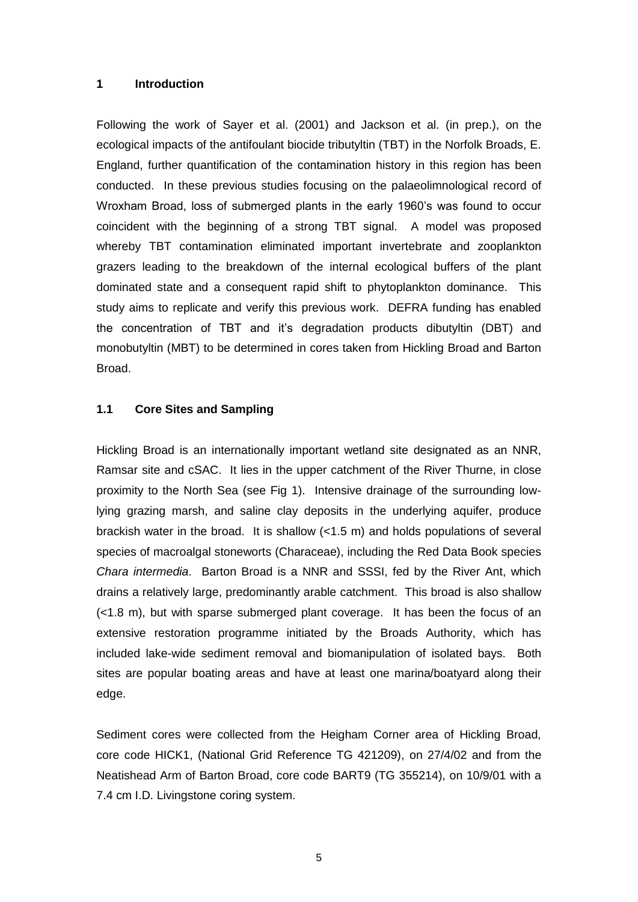#### **1 Introduction**

Following the work of Sayer et al. (2001) and Jackson et al. (in prep.), on the ecological impacts of the antifoulant biocide tributyltin (TBT) in the Norfolk Broads, E. England, further quantification of the contamination history in this region has been conducted. In these previous studies focusing on the palaeolimnological record of Wroxham Broad, loss of submerged plants in the early 1960's was found to occur coincident with the beginning of a strong TBT signal. A model was proposed whereby TBT contamination eliminated important invertebrate and zooplankton grazers leading to the breakdown of the internal ecological buffers of the plant dominated state and a consequent rapid shift to phytoplankton dominance. This study aims to replicate and verify this previous work. DEFRA funding has enabled the concentration of TBT and it's degradation products dibutyltin (DBT) and monobutyltin (MBT) to be determined in cores taken from Hickling Broad and Barton Broad.

#### **1.1 Core Sites and Sampling**

Hickling Broad is an internationally important wetland site designated as an NNR, Ramsar site and cSAC. It lies in the upper catchment of the River Thurne, in close proximity to the North Sea (see Fig 1). Intensive drainage of the surrounding lowlying grazing marsh, and saline clay deposits in the underlying aquifer, produce brackish water in the broad. It is shallow (<1.5 m) and holds populations of several species of macroalgal stoneworts (Characeae), including the Red Data Book species *Chara intermedia*. Barton Broad is a NNR and SSSI, fed by the River Ant, which drains a relatively large, predominantly arable catchment. This broad is also shallow (<1.8 m), but with sparse submerged plant coverage. It has been the focus of an extensive restoration programme initiated by the Broads Authority, which has included lake-wide sediment removal and biomanipulation of isolated bays. Both sites are popular boating areas and have at least one marina/boatyard along their edge.

Sediment cores were collected from the Heigham Corner area of Hickling Broad, core code HICK1, (National Grid Reference TG 421209), on 27/4/02 and from the Neatishead Arm of Barton Broad, core code BART9 (TG 355214), on 10/9/01 with a 7.4 cm I.D. Livingstone coring system.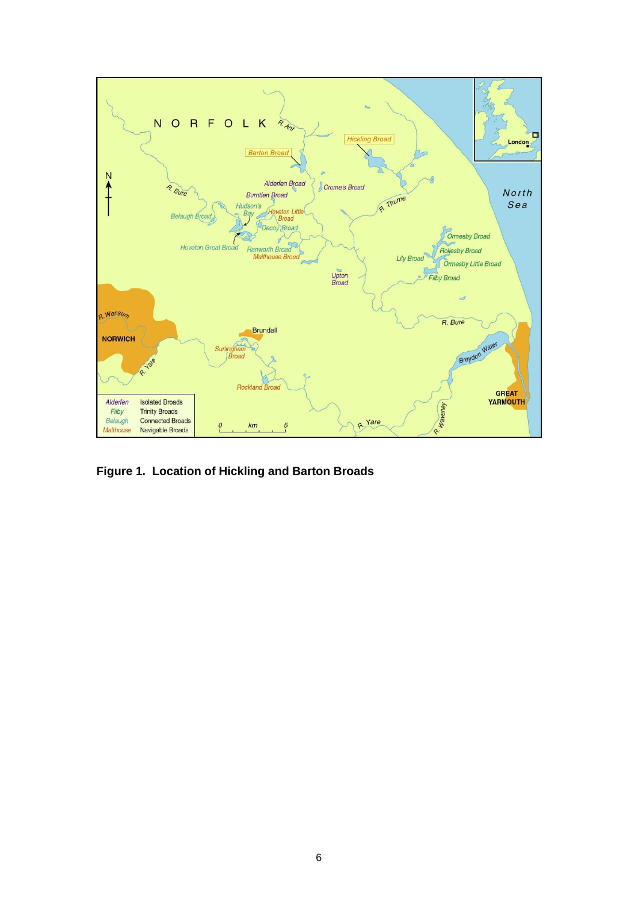

**Figure 1. Location of Hickling and Barton Broads**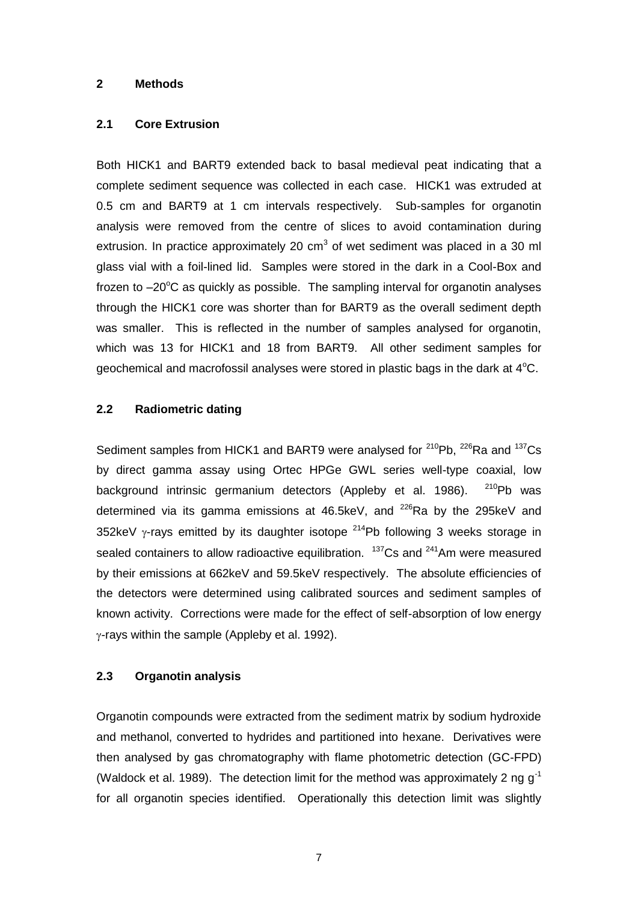#### **2 Methods**

#### **2.1 Core Extrusion**

Both HICK1 and BART9 extended back to basal medieval peat indicating that a complete sediment sequence was collected in each case. HICK1 was extruded at 0.5 cm and BART9 at 1 cm intervals respectively. Sub-samples for organotin analysis were removed from the centre of slices to avoid contamination during extrusion. In practice approximately 20  $cm<sup>3</sup>$  of wet sediment was placed in a 30 ml glass vial with a foil-lined lid. Samples were stored in the dark in a Cool-Box and frozen to  $-20^{\circ}$ C as quickly as possible. The sampling interval for organotin analyses through the HICK1 core was shorter than for BART9 as the overall sediment depth was smaller. This is reflected in the number of samples analysed for organotin, which was 13 for HICK1 and 18 from BART9. All other sediment samples for geochemical and macrofossil analyses were stored in plastic bags in the dark at  $4^{\circ}$ C.

#### **2.2 Radiometric dating**

Sediment samples from HICK1 and BART9 were analysed for  $210Pb$ ,  $226Ra$  and  $137Cs$ by direct gamma assay using Ortec HPGe GWL series well-type coaxial, low background intrinsic germanium detectors (Appleby et al. 1986).  $^{210}$ Ph was determined via its gamma emissions at  $46.5$ keV, and  $226$ Ra by the 295keV and 352keV  $\gamma$ -rays emitted by its daughter isotope  $^{214}$ Pb following 3 weeks storage in sealed containers to allow radioactive equilibration.  $137Cs$  and  $241Am$  were measured by their emissions at 662keV and 59.5keV respectively. The absolute efficiencies of the detectors were determined using calibrated sources and sediment samples of known activity. Corrections were made for the effect of self-absorption of low energy  $\gamma$ -rays within the sample (Appleby et al. 1992).

#### **2.3 Organotin analysis**

Organotin compounds were extracted from the sediment matrix by sodium hydroxide and methanol, converted to hydrides and partitioned into hexane. Derivatives were then analysed by gas chromatography with flame photometric detection (GC-FPD) (Waldock et al. 1989). The detection limit for the method was approximately 2 ng  $g^{-1}$ for all organotin species identified. Operationally this detection limit was slightly

7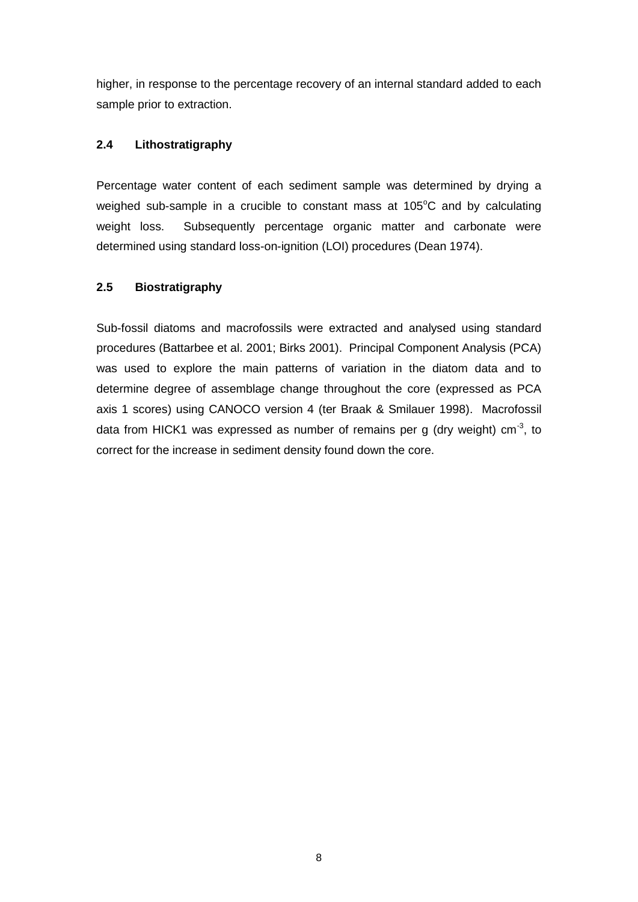higher, in response to the percentage recovery of an internal standard added to each sample prior to extraction.

#### **2.4 Lithostratigraphy**

Percentage water content of each sediment sample was determined by drying a weighed sub-sample in a crucible to constant mass at 105°C and by calculating weight loss. Subsequently percentage organic matter and carbonate were determined using standard loss-on-ignition (LOI) procedures (Dean 1974).

#### **2.5 Biostratigraphy**

Sub-fossil diatoms and macrofossils were extracted and analysed using standard procedures (Battarbee et al. 2001; Birks 2001). Principal Component Analysis (PCA) was used to explore the main patterns of variation in the diatom data and to determine degree of assemblage change throughout the core (expressed as PCA axis 1 scores) using CANOCO version 4 (ter Braak & Smilauer 1998). Macrofossil data from HICK1 was expressed as number of remains per g (dry weight) cm<sup>-3</sup>, to correct for the increase in sediment density found down the core.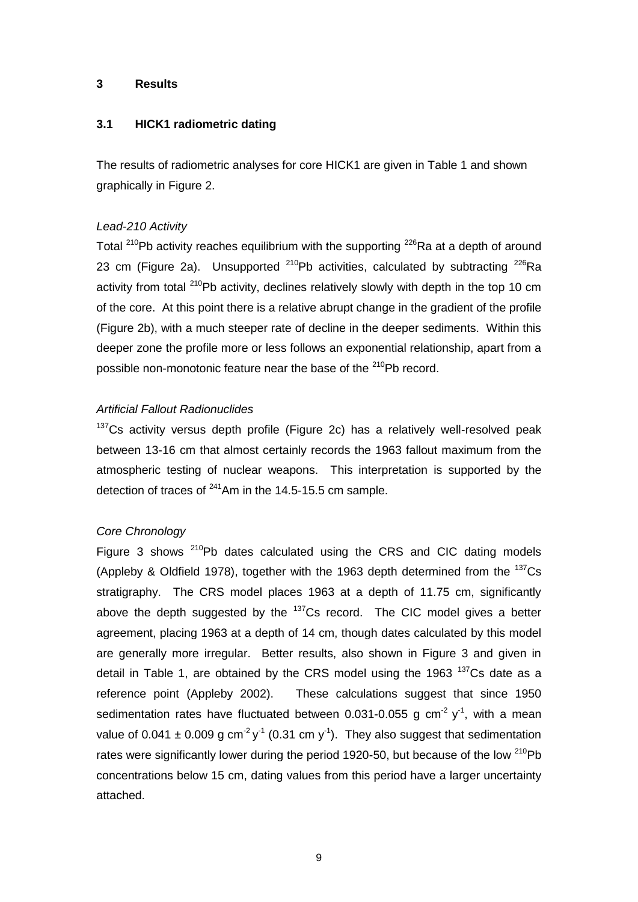#### **3 Results**

#### **3.1 HICK1 radiometric dating**

The results of radiometric analyses for core HICK1 are given in Table 1 and shown graphically in Figure 2.

#### *Lead-210 Activity*

Total <sup>210</sup>Pb activity reaches equilibrium with the supporting  $226$ Ra at a depth of around 23 cm (Figure 2a). Unsupported  $^{210}$ Pb activities, calculated by subtracting  $^{226}$ Ra activity from total <sup>210</sup>Pb activity, declines relatively slowly with depth in the top 10 cm of the core. At this point there is a relative abrupt change in the gradient of the profile (Figure 2b), with a much steeper rate of decline in the deeper sediments. Within this deeper zone the profile more or less follows an exponential relationship, apart from a possible non-monotonic feature near the base of the <sup>210</sup>Pb record.

#### *Artificial Fallout Radionuclides*

 $137$ Cs activity versus depth profile (Figure 2c) has a relatively well-resolved peak between 13-16 cm that almost certainly records the 1963 fallout maximum from the atmospheric testing of nuclear weapons. This interpretation is supported by the detection of traces of  $^{241}$ Am in the 14.5-15.5 cm sample.

#### *Core Chronology*

Figure 3 shows  $210Pb$  dates calculated using the CRS and CIC dating models (Appleby & Oldfield 1978), together with the 1963 depth determined from the  $^{137}Cs$ stratigraphy. The CRS model places 1963 at a depth of 11.75 cm, significantly above the depth suggested by the  $137$ Cs record. The CIC model gives a better agreement, placing 1963 at a depth of 14 cm, though dates calculated by this model are generally more irregular. Better results, also shown in Figure 3 and given in detail in Table 1, are obtained by the CRS model using the 1963  $137$ Cs date as a reference point (Appleby 2002). These calculations suggest that since 1950 sedimentation rates have fluctuated between 0.031-0.055 g cm<sup>-2</sup>  $y<sup>-1</sup>$ , with a mean value of 0.041  $\pm$  0.009 g cm<sup>-2</sup> y<sup>-1</sup> (0.31 cm y<sup>-1</sup>). They also suggest that sedimentation rates were significantly lower during the period 1920-50, but because of the low  $^{210}Pb$ concentrations below 15 cm, dating values from this period have a larger uncertainty attached.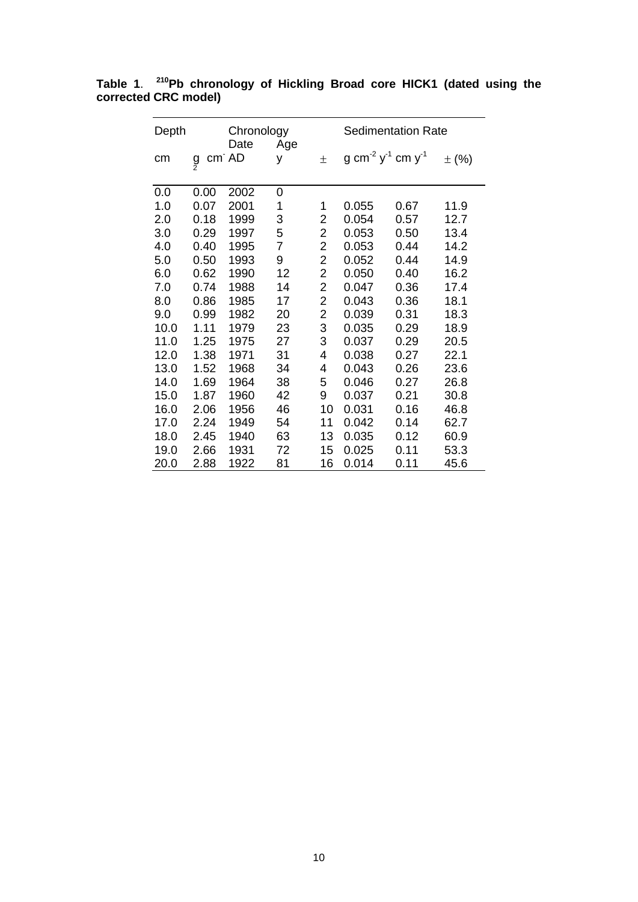| Depth |        | Chronology    |                |                         | <b>Sedimentation Rate</b> |                                                       |           |
|-------|--------|---------------|----------------|-------------------------|---------------------------|-------------------------------------------------------|-----------|
| cm    | g<br>2 | Date<br>cm AD | Age<br>y       | $\pm$                   |                           | g cm <sup>-2</sup> y <sup>-1</sup> cm y <sup>-1</sup> | $\pm$ (%) |
| 0.0   | 0.00   | 2002          | 0              |                         |                           |                                                       |           |
| 1.0   | 0.07   | 2001          | 1              | 1                       | 0.055                     | 0.67                                                  | 11.9      |
| 2.0   | 0.18   | 1999          | 3              | 2                       | 0.054                     | 0.57                                                  | 12.7      |
| 3.0   | 0.29   | 1997          | 5              | 2                       | 0.053                     | 0.50                                                  | 13.4      |
| 4.0   | 0.40   | 1995          | $\overline{7}$ | $\overline{2}$          | 0.053                     | 0.44                                                  | 14.2      |
| 5.0   | 0.50   | 1993          | 9              | $\overline{2}$          | 0.052                     | 0.44                                                  | 14.9      |
| 6.0   | 0.62   | 1990          | 12             | 2                       | 0.050                     | 0.40                                                  | 16.2      |
| 7.0   | 0.74   | 1988          | 14             | 2                       | 0.047                     | 0.36                                                  | 17.4      |
| 8.0   | 0.86   | 1985          | 17             | 2                       | 0.043                     | 0.36                                                  | 18.1      |
| 9.0   | 0.99   | 1982          | 20             | $\overline{\mathbf{c}}$ | 0.039                     | 0.31                                                  | 18.3      |
| 10.0  | 1.11   | 1979          | 23             | 3                       | 0.035                     | 0.29                                                  | 18.9      |
| 11.0  | 1.25   | 1975          | 27             | 3                       | 0.037                     | 0.29                                                  | 20.5      |
| 12.0  | 1.38   | 1971          | 31             | 4                       | 0.038                     | 0.27                                                  | 22.1      |
| 13.0  | 1.52   | 1968          | 34             | 4                       | 0.043                     | 0.26                                                  | 23.6      |
| 14.0  | 1.69   | 1964          | 38             | 5                       | 0.046                     | 0.27                                                  | 26.8      |
| 15.0  | 1.87   | 1960          | 42             | 9                       | 0.037                     | 0.21                                                  | 30.8      |
| 16.0  | 2.06   | 1956          | 46             | 10                      | 0.031                     | 0.16                                                  | 46.8      |
| 17.0  | 2.24   | 1949          | 54             | 11                      | 0.042                     | 0.14                                                  | 62.7      |
| 18.0  | 2.45   | 1940          | 63             | 13                      | 0.035                     | 0.12                                                  | 60.9      |
| 19.0  | 2.66   | 1931          | 72             | 15                      | 0.025                     | 0.11                                                  | 53.3      |
| 20.0  | 2.88   | 1922          | 81             | 16                      | 0.014                     | 0.11                                                  | 45.6      |

**Table 1**. **<sup>210</sup>Pb chronology of Hickling Broad core HICK1 (dated using the corrected CRC model)**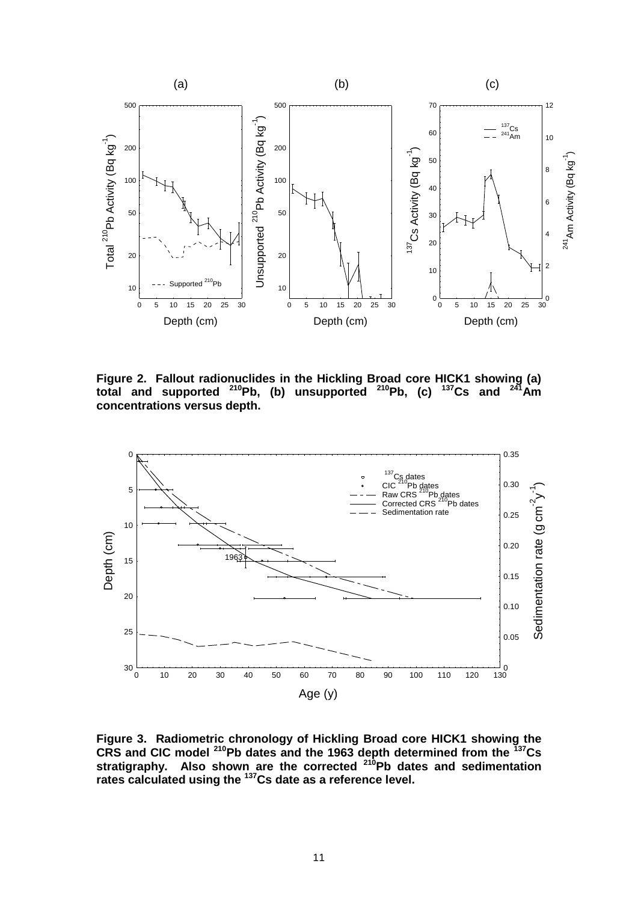

**Figure 2. Fallout radionuclides in the Hickling Broad core HICK1 showing (a) total and supported <sup>210</sup>Pb, (b) unsupported <sup>210</sup>Pb, (c) <sup>137</sup>Cs and <sup>241</sup>Am concentrations versus depth.** 



**Figure 3. Radiometric chronology of Hickling Broad core HICK1 showing the CRS and CIC model <sup>210</sup>Pb dates and the 1963 depth determined from the <sup>137</sup>Cs stratigraphy. Also shown are the corrected <sup>210</sup>Pb dates and sedimentation rates calculated using the <sup>137</sup>Cs date as a reference level.**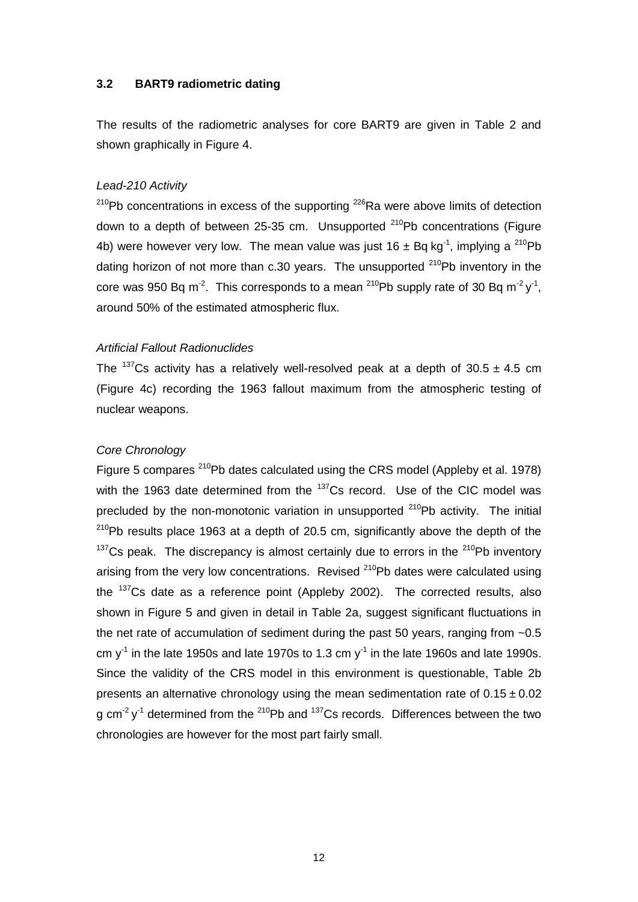#### **3.2 BART9 radiometric dating**

The results of the radiometric analyses for core BART9 are given in Table 2 and shown graphically in Figure 4.

#### *Lead-210 Activity*

 $210Pb$  concentrations in excess of the supporting  $226Ra$  were above limits of detection down to a depth of between 25-35 cm. Unsupported  $^{210}$ Pb concentrations (Figure 4b) were however very low. The mean value was just  $16 \pm Bq$  kg<sup>-1</sup>, implying a <sup>210</sup>Pb dating horizon of not more than  $c.30$  vears. The unsupported  $210Pb$  inventory in the core was 950 Bq m<sup>-2</sup>. This corresponds to a mean <sup>210</sup>Pb supply rate of 30 Bq m<sup>-2</sup> y<sup>-1</sup>, around 50% of the estimated atmospheric flux.

#### *Artificial Fallout Radionuclides*

The <sup>137</sup>Cs activity has a relatively well-resolved peak at a depth of  $30.5 \pm 4.5$  cm (Figure 4c) recording the 1963 fallout maximum from the atmospheric testing of nuclear weapons.

#### *Core Chronology*

Figure 5 compares <sup>210</sup>Pb dates calculated using the CRS model (Appleby et al. 1978) with the 1963 date determined from the  $137$ Cs record. Use of the CIC model was precluded by the non-monotonic variation in unsupported  $210Pb$  activity. The initial  $210$ Pb results place 1963 at a depth of 20.5 cm, significantly above the depth of the  $137$ Cs peak. The discrepancy is almost certainly due to errors in the  $210$ Pb inventory arising from the very low concentrations. Revised <sup>210</sup>Pb dates were calculated using the <sup>137</sup>Cs date as a reference point (Appleby 2002). The corrected results, also shown in Figure 5 and given in detail in Table 2a, suggest significant fluctuations in the net rate of accumulation of sediment during the past 50 years, ranging from ~0.5 cm  $y<sup>-1</sup>$  in the late 1950s and late 1970s to 1.3 cm  $y<sup>-1</sup>$  in the late 1960s and late 1990s. Since the validity of the CRS model in this environment is questionable, Table 2b presents an alternative chronology using the mean sedimentation rate of  $0.15 \pm 0.02$ g cm<sup>-2</sup> y<sup>-1</sup> determined from the <sup>210</sup>Pb and <sup>137</sup>Cs records. Differences between the two chronologies are however for the most part fairly small.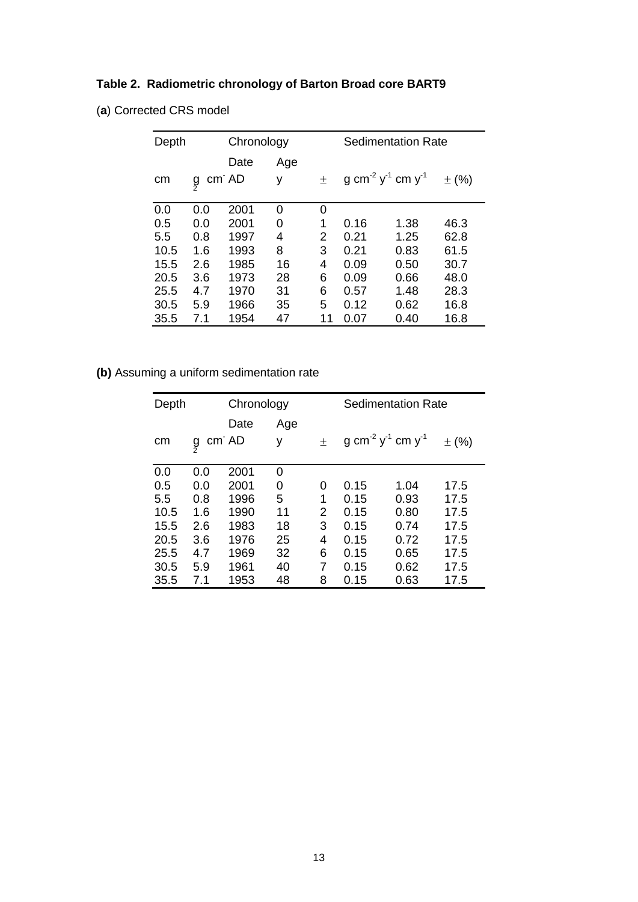## **Table 2. Radiometric chronology of Barton Broad core BART9**

| (a) Corrected CRS model |
|-------------------------|
|                         |

| Depth |     | Chronology |     |    | <b>Sedimentation Rate</b>                             |      |           |
|-------|-----|------------|-----|----|-------------------------------------------------------|------|-----------|
|       |     | Date       | Age |    |                                                       |      |           |
| cm    | à   | cm AD      | у   | 土  | g cm <sup>-2</sup> y <sup>-1</sup> cm y <sup>-1</sup> |      | $\pm$ (%) |
|       |     |            |     |    |                                                       |      |           |
| 0.0   | 0.0 | 2001       | 0   | 0  |                                                       |      |           |
| 0.5   | 0.0 | 2001       | 0   | 1  | 0.16                                                  | 1.38 | 46.3      |
| 5.5   | 0.8 | 1997       | 4   | 2  | 0.21                                                  | 1.25 | 62.8      |
| 10.5  | 1.6 | 1993       | 8   | 3  | 0.21                                                  | 0.83 | 61.5      |
| 15.5  | 2.6 | 1985       | 16  | 4  | 0.09                                                  | 0.50 | 30.7      |
| 20.5  | 3.6 | 1973       | 28  | 6  | 0.09                                                  | 0.66 | 48.0      |
| 25.5  | 4.7 | 1970       | 31  | 6  | 0.57                                                  | 1.48 | 28.3      |
| 30.5  | 5.9 | 1966       | 35  | 5  | 0.12                                                  | 0.62 | 16.8      |
| 35.5  | 7.1 | 1954       | 47  | 11 | 0.07                                                  | 0.40 | 16.8      |

### **(b)** Assuming a uniform sedimentation rate

| Depth |     | Chronology |     |   | <b>Sedimentation Rate</b>                             |      |           |
|-------|-----|------------|-----|---|-------------------------------------------------------|------|-----------|
|       |     | Date       | Age |   |                                                       |      |           |
| cm    | ă   | cm AD      | у   | 土 | g cm <sup>-2</sup> y <sup>-1</sup> cm y <sup>-1</sup> |      | $\pm$ (%) |
| 0.0   | 0.0 | 2001       | 0   |   |                                                       |      |           |
| 0.5   | 0.0 | 2001       | 0   | 0 | 0.15                                                  | 1.04 | 17.5      |
| 5.5   | 0.8 | 1996       | 5   | 1 | 0.15                                                  | 0.93 | 17.5      |
| 10.5  | 1.6 | 1990       | 11  | 2 | 0.15                                                  | 0.80 | 17.5      |
| 15.5  | 2.6 | 1983       | 18  | 3 | 0.15                                                  | 0.74 | 17.5      |
| 20.5  | 3.6 | 1976       | 25  | 4 | 0.15                                                  | 0.72 | 17.5      |
| 25.5  | 4.7 | 1969       | 32  | 6 | 0.15                                                  | 0.65 | 17.5      |
| 30.5  | 5.9 | 1961       | 40  | 7 | 0.15                                                  | 0.62 | 17.5      |
| 35.5  | 7.1 | 1953       | 48  | 8 | 0.15                                                  | 0.63 | 17.5      |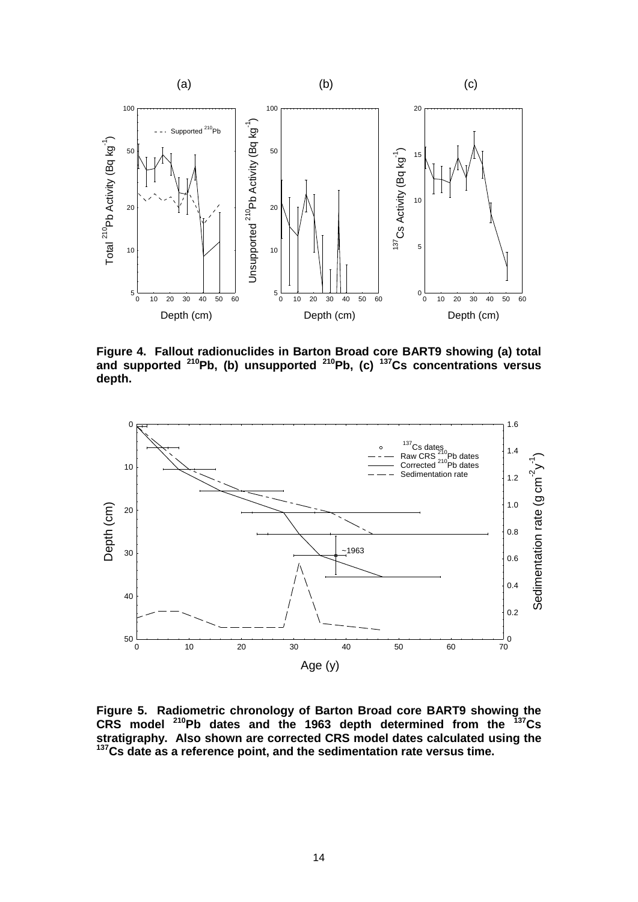

**Figure 4. Fallout radionuclides in Barton Broad core BART9 showing (a) total and supported <sup>210</sup>Pb, (b) unsupported <sup>210</sup>Pb, (c) <sup>137</sup>Cs concentrations versus depth.** 



**Figure 5. Radiometric chronology of Barton Broad core BART9 showing the CRS model <sup>210</sup>Pb dates and the 1963 depth determined from the <sup>137</sup>Cs stratigraphy. Also shown are corrected CRS model dates calculated using the <sup>137</sup>Cs date as a reference point, and the sedimentation rate versus time.**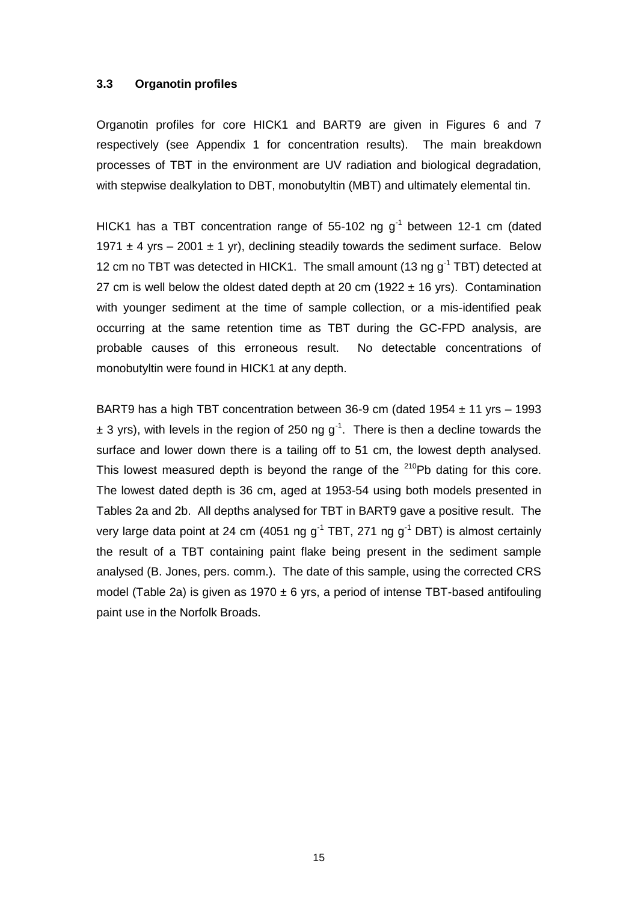#### **3.3 Organotin profiles**

Organotin profiles for core HICK1 and BART9 are given in Figures 6 and 7 respectively (see Appendix 1 for concentration results). The main breakdown processes of TBT in the environment are UV radiation and biological degradation, with stepwise dealkylation to DBT, monobutyltin (MBT) and ultimately elemental tin.

HICK1 has a TBT concentration range of 55-102 ng  $g^{-1}$  between 12-1 cm (dated 1971  $\pm$  4 yrs – 2001  $\pm$  1 yr), declining steadily towards the sediment surface. Below 12 cm no TBT was detected in HICK1. The small amount (13 ng  $q^{-1}$  TBT) detected at 27 cm is well below the oldest dated depth at 20 cm (1922  $\pm$  16 yrs). Contamination with younger sediment at the time of sample collection, or a mis-identified peak occurring at the same retention time as TBT during the GC-FPD analysis, are probable causes of this erroneous result. No detectable concentrations of monobutyltin were found in HICK1 at any depth.

BART9 has a high TBT concentration between 36-9 cm (dated 1954  $\pm$  11 yrs – 1993  $\pm$  3 yrs), with levels in the region of 250 ng g<sup>-1</sup>. There is then a decline towards the surface and lower down there is a tailing off to 51 cm, the lowest depth analysed. This lowest measured depth is beyond the range of the <sup>210</sup>Pb dating for this core. The lowest dated depth is 36 cm, aged at 1953-54 using both models presented in Tables 2a and 2b. All depths analysed for TBT in BART9 gave a positive result. The very large data point at 24 cm (4051 ng  $g<sup>-1</sup> TBT$ , 271 ng  $g<sup>-1</sup> DBT$ ) is almost certainly the result of a TBT containing paint flake being present in the sediment sample analysed (B. Jones, pers. comm.). The date of this sample, using the corrected CRS model (Table 2a) is given as 1970  $\pm$  6 yrs, a period of intense TBT-based antifouling paint use in the Norfolk Broads.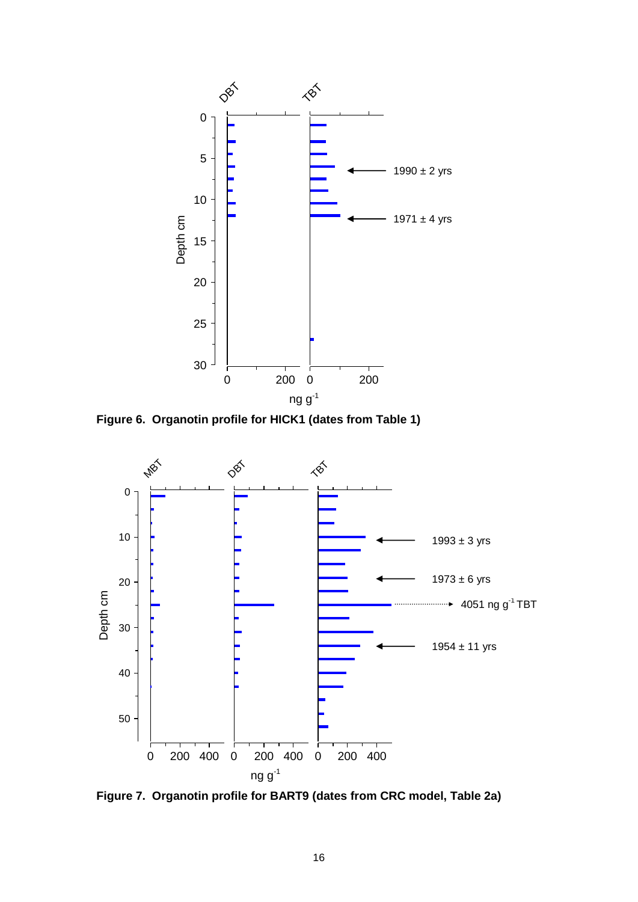

**Figure 6. Organotin profile for HICK1 (dates from Table 1)**



**Figure 7. Organotin profile for BART9 (dates from CRC model, Table 2a)**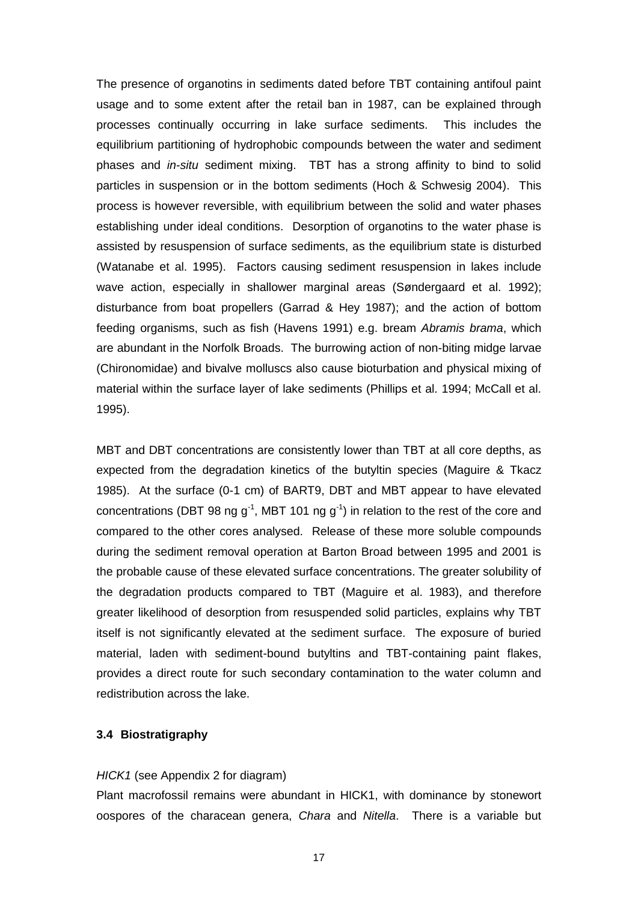The presence of organotins in sediments dated before TBT containing antifoul paint usage and to some extent after the retail ban in 1987, can be explained through processes continually occurring in lake surface sediments. This includes the equilibrium partitioning of hydrophobic compounds between the water and sediment phases and *in-situ* sediment mixing. TBT has a strong affinity to bind to solid particles in suspension or in the bottom sediments (Hoch & Schwesig 2004). This process is however reversible, with equilibrium between the solid and water phases establishing under ideal conditions. Desorption of organotins to the water phase is assisted by resuspension of surface sediments, as the equilibrium state is disturbed (Watanabe et al. 1995). Factors causing sediment resuspension in lakes include wave action, especially in shallower marginal areas (Søndergaard et al. 1992); disturbance from boat propellers (Garrad & Hey 1987); and the action of bottom feeding organisms, such as fish (Havens 1991) e.g. bream *Abramis brama*, which are abundant in the Norfolk Broads. The burrowing action of non-biting midge larvae (Chironomidae) and bivalve molluscs also cause bioturbation and physical mixing of material within the surface layer of lake sediments (Phillips et al. 1994; McCall et al. 1995).

MBT and DBT concentrations are consistently lower than TBT at all core depths, as expected from the degradation kinetics of the butyltin species (Maguire & Tkacz 1985). At the surface (0-1 cm) of BART9, DBT and MBT appear to have elevated concentrations (DBT 98 ng  $g^{-1}$ , MBT 101 ng  $g^{-1}$ ) in relation to the rest of the core and compared to the other cores analysed. Release of these more soluble compounds during the sediment removal operation at Barton Broad between 1995 and 2001 is the probable cause of these elevated surface concentrations. The greater solubility of the degradation products compared to TBT (Maguire et al. 1983), and therefore greater likelihood of desorption from resuspended solid particles, explains why TBT itself is not significantly elevated at the sediment surface. The exposure of buried material, laden with sediment-bound butyltins and TBT-containing paint flakes, provides a direct route for such secondary contamination to the water column and redistribution across the lake.

#### **3.4 Biostratigraphy**

#### *HICK1* (see Appendix 2 for diagram)

Plant macrofossil remains were abundant in HICK1, with dominance by stonewort oospores of the characean genera, *Chara* and *Nitella*. There is a variable but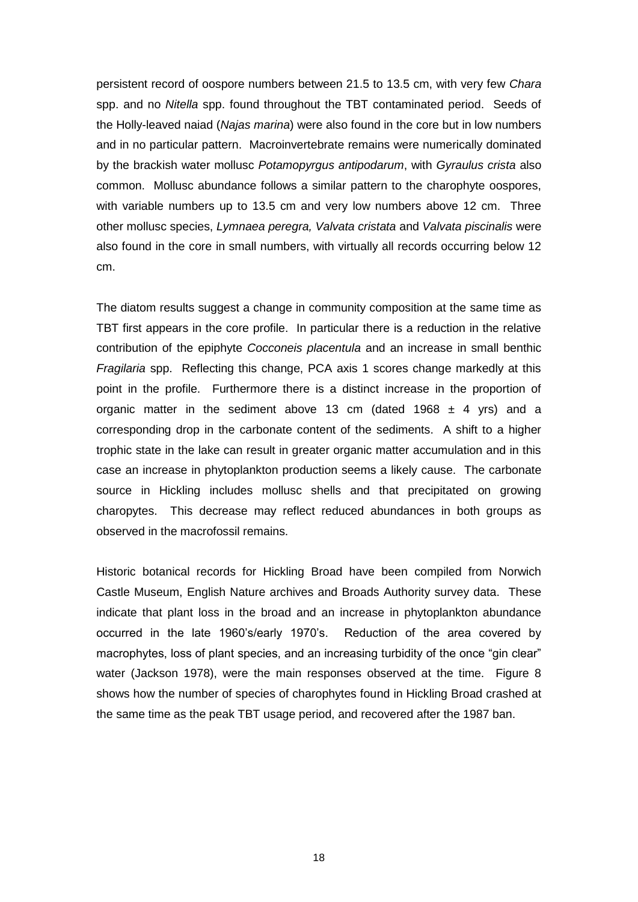persistent record of oospore numbers between 21.5 to 13.5 cm, with very few *Chara* spp. and no *Nitella* spp. found throughout the TBT contaminated period. Seeds of the Holly-leaved naiad (*Najas marina*) were also found in the core but in low numbers and in no particular pattern. Macroinvertebrate remains were numerically dominated by the brackish water mollusc *Potamopyrgus antipodarum*, with *Gyraulus crista* also common. Mollusc abundance follows a similar pattern to the charophyte oospores, with variable numbers up to 13.5 cm and very low numbers above 12 cm. Three other mollusc species, *Lymnaea peregra, Valvata cristata* and *Valvata piscinalis* were also found in the core in small numbers, with virtually all records occurring below 12 cm.

The diatom results suggest a change in community composition at the same time as TBT first appears in the core profile. In particular there is a reduction in the relative contribution of the epiphyte *Cocconeis placentula* and an increase in small benthic *Fragilaria* spp. Reflecting this change, PCA axis 1 scores change markedly at this point in the profile. Furthermore there is a distinct increase in the proportion of organic matter in the sediment above 13 cm (dated 1968  $\pm$  4 yrs) and a corresponding drop in the carbonate content of the sediments. A shift to a higher trophic state in the lake can result in greater organic matter accumulation and in this case an increase in phytoplankton production seems a likely cause. The carbonate source in Hickling includes mollusc shells and that precipitated on growing charopytes. This decrease may reflect reduced abundances in both groups as observed in the macrofossil remains.

Historic botanical records for Hickling Broad have been compiled from Norwich Castle Museum, English Nature archives and Broads Authority survey data. These indicate that plant loss in the broad and an increase in phytoplankton abundance occurred in the late 1960's/early 1970's. Reduction of the area covered by macrophytes, loss of plant species, and an increasing turbidity of the once "gin clear" water (Jackson 1978), were the main responses observed at the time. Figure 8 shows how the number of species of charophytes found in Hickling Broad crashed at the same time as the peak TBT usage period, and recovered after the 1987 ban.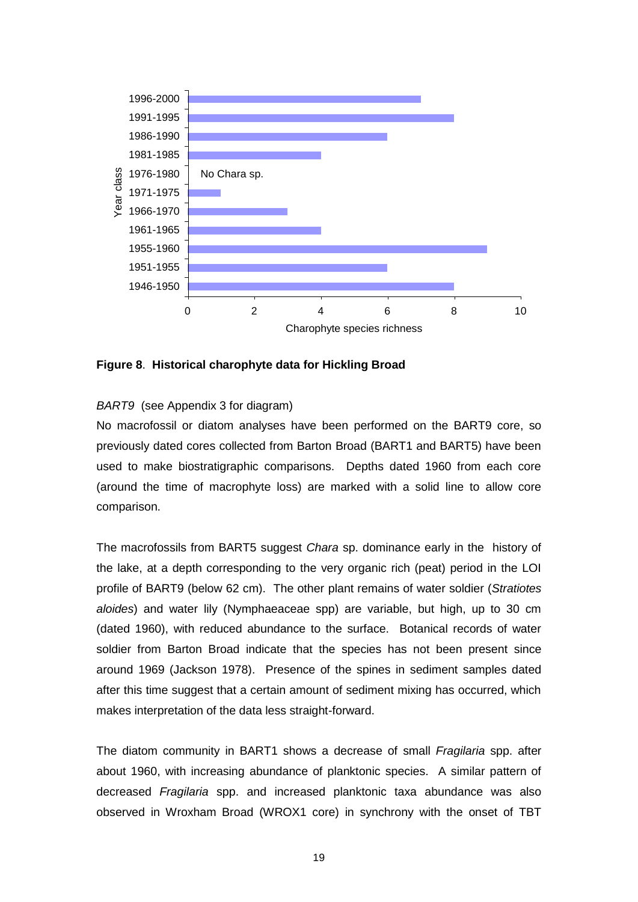

**Figure 8**. **Historical charophyte data for Hickling Broad**

#### *BART9* (see Appendix 3 for diagram)

No macrofossil or diatom analyses have been performed on the BART9 core, so previously dated cores collected from Barton Broad (BART1 and BART5) have been used to make biostratigraphic comparisons. Depths dated 1960 from each core (around the time of macrophyte loss) are marked with a solid line to allow core comparison.

The macrofossils from BART5 suggest *Chara* sp. dominance early in the history of the lake, at a depth corresponding to the very organic rich (peat) period in the LOI profile of BART9 (below 62 cm). The other plant remains of water soldier (*Stratiotes aloides*) and water lily (Nymphaeaceae spp) are variable, but high, up to 30 cm (dated 1960), with reduced abundance to the surface. Botanical records of water soldier from Barton Broad indicate that the species has not been present since around 1969 (Jackson 1978). Presence of the spines in sediment samples dated after this time suggest that a certain amount of sediment mixing has occurred, which makes interpretation of the data less straight-forward.

The diatom community in BART1 shows a decrease of small *Fragilaria* spp. after about 1960, with increasing abundance of planktonic species. A similar pattern of decreased *Fragilaria* spp. and increased planktonic taxa abundance was also observed in Wroxham Broad (WROX1 core) in synchrony with the onset of TBT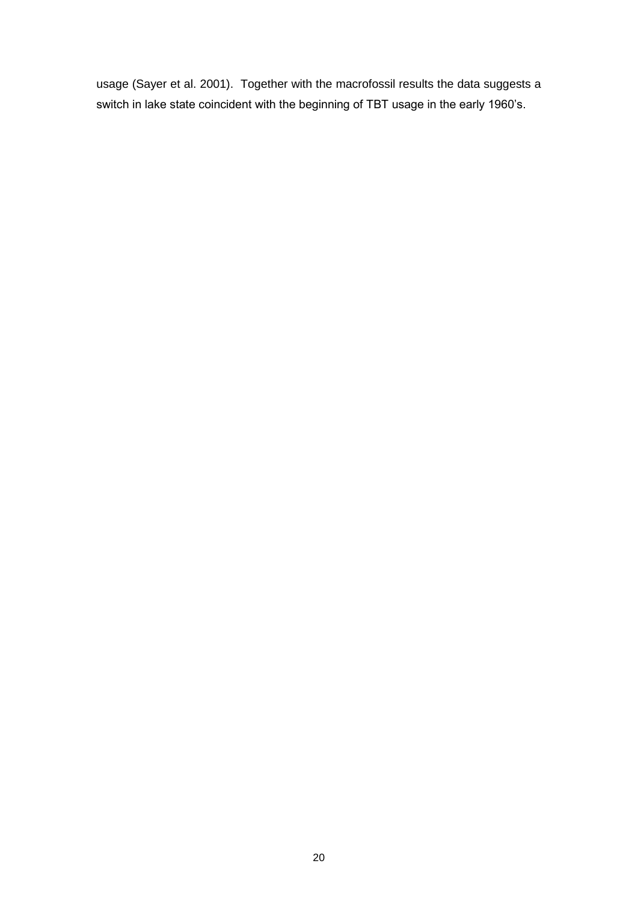usage (Sayer et al. 2001). Together with the macrofossil results the data suggests a switch in lake state coincident with the beginning of TBT usage in the early 1960's.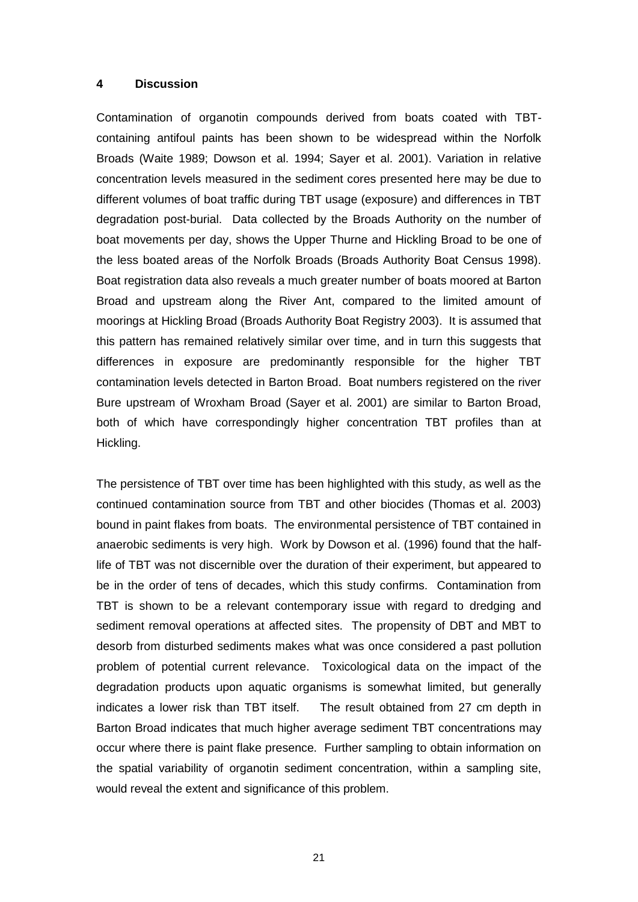#### **4 Discussion**

Contamination of organotin compounds derived from boats coated with TBTcontaining antifoul paints has been shown to be widespread within the Norfolk Broads (Waite 1989; Dowson et al. 1994; Sayer et al. 2001). Variation in relative concentration levels measured in the sediment cores presented here may be due to different volumes of boat traffic during TBT usage (exposure) and differences in TBT degradation post-burial. Data collected by the Broads Authority on the number of boat movements per day, shows the Upper Thurne and Hickling Broad to be one of the less boated areas of the Norfolk Broads (Broads Authority Boat Census 1998). Boat registration data also reveals a much greater number of boats moored at Barton Broad and upstream along the River Ant, compared to the limited amount of moorings at Hickling Broad (Broads Authority Boat Registry 2003). It is assumed that this pattern has remained relatively similar over time, and in turn this suggests that differences in exposure are predominantly responsible for the higher TBT contamination levels detected in Barton Broad. Boat numbers registered on the river Bure upstream of Wroxham Broad (Sayer et al. 2001) are similar to Barton Broad, both of which have correspondingly higher concentration TBT profiles than at Hickling.

The persistence of TBT over time has been highlighted with this study, as well as the continued contamination source from TBT and other biocides (Thomas et al. 2003) bound in paint flakes from boats. The environmental persistence of TBT contained in anaerobic sediments is very high. Work by Dowson et al. (1996) found that the halflife of TBT was not discernible over the duration of their experiment, but appeared to be in the order of tens of decades, which this study confirms. Contamination from TBT is shown to be a relevant contemporary issue with regard to dredging and sediment removal operations at affected sites. The propensity of DBT and MBT to desorb from disturbed sediments makes what was once considered a past pollution problem of potential current relevance. Toxicological data on the impact of the degradation products upon aquatic organisms is somewhat limited, but generally indicates a lower risk than TBT itself. The result obtained from 27 cm depth in Barton Broad indicates that much higher average sediment TBT concentrations may occur where there is paint flake presence. Further sampling to obtain information on the spatial variability of organotin sediment concentration, within a sampling site, would reveal the extent and significance of this problem.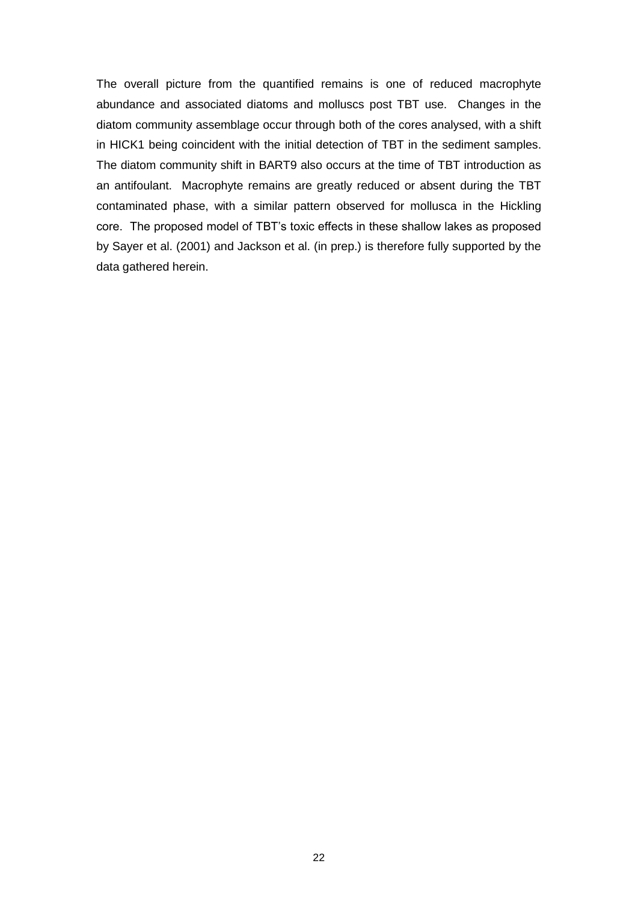The overall picture from the quantified remains is one of reduced macrophyte abundance and associated diatoms and molluscs post TBT use. Changes in the diatom community assemblage occur through both of the cores analysed, with a shift in HICK1 being coincident with the initial detection of TBT in the sediment samples. The diatom community shift in BART9 also occurs at the time of TBT introduction as an antifoulant. Macrophyte remains are greatly reduced or absent during the TBT contaminated phase, with a similar pattern observed for mollusca in the Hickling core. The proposed model of TBT's toxic effects in these shallow lakes as proposed by Sayer et al. (2001) and Jackson et al. (in prep.) is therefore fully supported by the data gathered herein.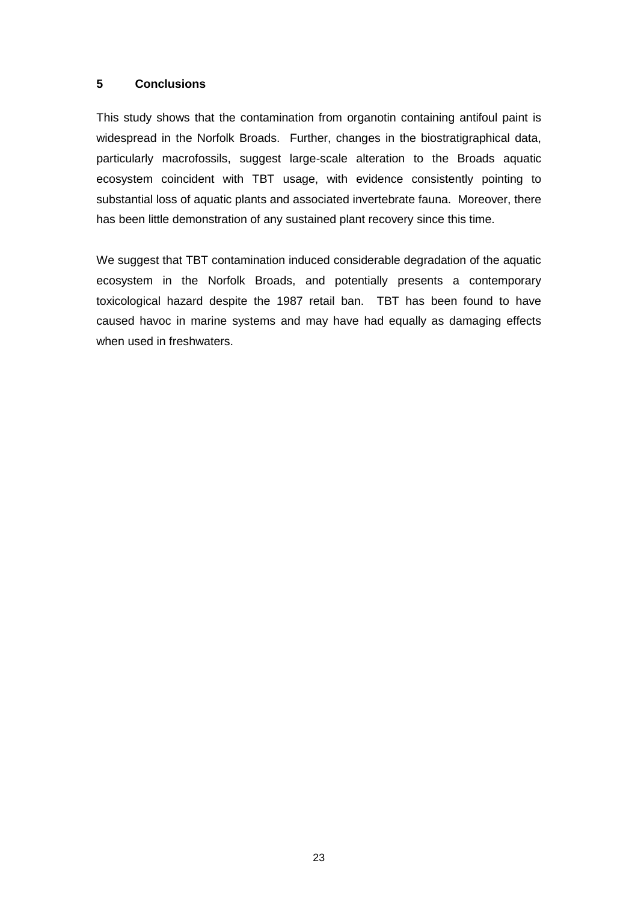#### **5 Conclusions**

This study shows that the contamination from organotin containing antifoul paint is widespread in the Norfolk Broads. Further, changes in the biostratigraphical data, particularly macrofossils, suggest large-scale alteration to the Broads aquatic ecosystem coincident with TBT usage, with evidence consistently pointing to substantial loss of aquatic plants and associated invertebrate fauna. Moreover, there has been little demonstration of any sustained plant recovery since this time.

We suggest that TBT contamination induced considerable degradation of the aquatic ecosystem in the Norfolk Broads, and potentially presents a contemporary toxicological hazard despite the 1987 retail ban. TBT has been found to have caused havoc in marine systems and may have had equally as damaging effects when used in freshwaters.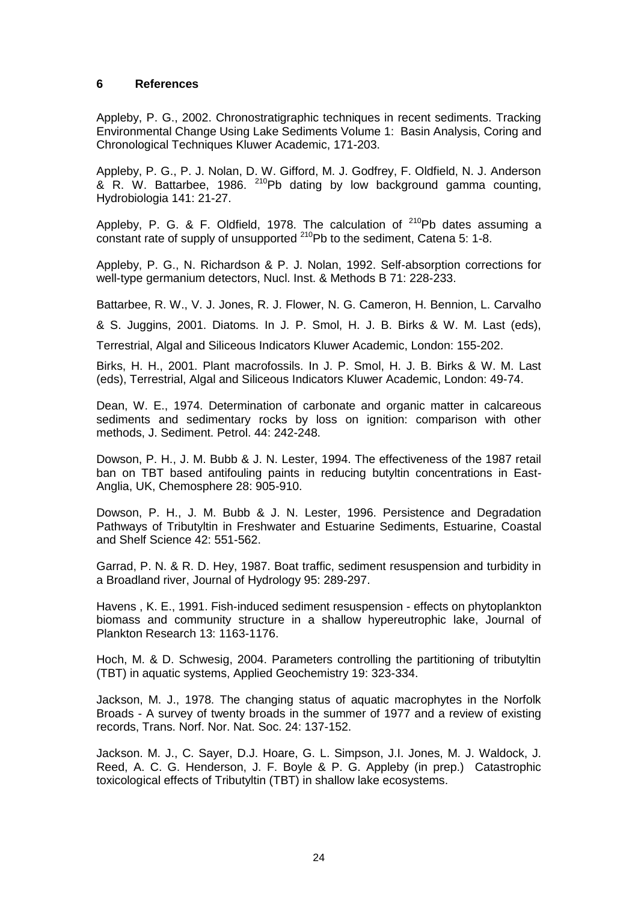#### **6 References**

Appleby, P. G., 2002. Chronostratigraphic techniques in recent sediments. Tracking Environmental Change Using Lake Sediments Volume 1: Basin Analysis, Coring and Chronological Techniques Kluwer Academic, 171-203.

Appleby, P. G., P. J. Nolan, D. W. Gifford, M. J. Godfrey, F. Oldfield, N. J. Anderson & R. W. Battarbee, 1986.  $^{210}$ Pb dating by low background gamma counting, Hydrobiologia 141: 21-27.

Appleby, P. G. & F. Oldfield, 1978. The calculation of  $^{210}$ Pb dates assuming a constant rate of supply of unsupported <sup>210</sup>Pb to the sediment, Catena 5: 1-8.

Appleby, P. G., N. Richardson & P. J. Nolan, 1992. Self-absorption corrections for well-type germanium detectors, Nucl. Inst. & Methods B 71: 228-233.

Battarbee, R. W., V. J. Jones, R. J. Flower, N. G. Cameron, H. Bennion, L. Carvalho

& S. Juggins, 2001. Diatoms. In J. P. Smol, H. J. B. Birks & W. M. Last (eds),

Terrestrial, Algal and Siliceous Indicators Kluwer Academic, London: 155-202.

Birks, H. H., 2001. Plant macrofossils. In J. P. Smol, H. J. B. Birks & W. M. Last (eds), Terrestrial, Algal and Siliceous Indicators Kluwer Academic, London: 49-74.

Dean, W. E., 1974. Determination of carbonate and organic matter in calcareous sediments and sedimentary rocks by loss on ignition: comparison with other methods, J. Sediment. Petrol. 44: 242-248.

Dowson, P. H., J. M. Bubb & J. N. Lester, 1994. The effectiveness of the 1987 retail ban on TBT based antifouling paints in reducing butyltin concentrations in East-Anglia, UK, Chemosphere 28: 905-910.

Dowson, P. H., J. M. Bubb & J. N. Lester, 1996. Persistence and Degradation Pathways of Tributyltin in Freshwater and Estuarine Sediments, Estuarine, Coastal and Shelf Science 42: 551-562.

Garrad, P. N. & R. D. Hey, 1987. Boat traffic, sediment resuspension and turbidity in a Broadland river, Journal of Hydrology 95: 289-297.

Havens , K. E., 1991. Fish-induced sediment resuspension - effects on phytoplankton biomass and community structure in a shallow hypereutrophic lake, Journal of Plankton Research 13: 1163-1176.

Hoch, M. & D. Schwesig, 2004. Parameters controlling the partitioning of tributyltin (TBT) in aquatic systems, Applied Geochemistry 19: 323-334.

Jackson, M. J., 1978. The changing status of aquatic macrophytes in the Norfolk Broads - A survey of twenty broads in the summer of 1977 and a review of existing records, Trans. Norf. Nor. Nat. Soc. 24: 137-152.

Jackson. M. J., C. Sayer, D.J. Hoare, G. L. Simpson, J.I. Jones, M. J. Waldock, J. Reed, A. C. G. Henderson, J. F. Boyle & P. G. Appleby (in prep.) Catastrophic toxicological effects of Tributyltin (TBT) in shallow lake ecosystems.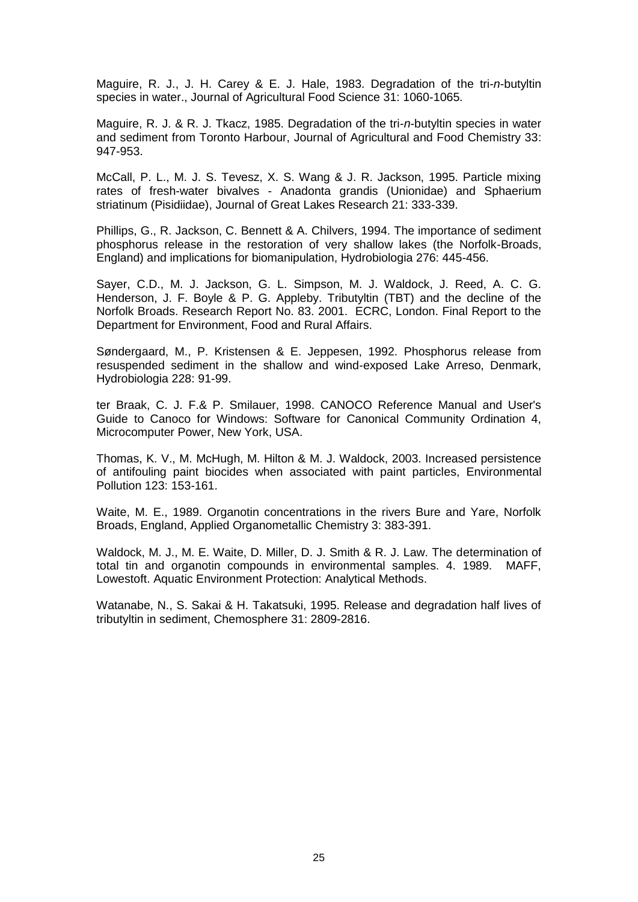Maguire, R. J., J. H. Carey & E. J. Hale, 1983. Degradation of the tri-*n*-butyltin species in water., Journal of Agricultural Food Science 31: 1060-1065.

Maguire, R. J. & R. J. Tkacz, 1985. Degradation of the tri-*n*-butyltin species in water and sediment from Toronto Harbour, Journal of Agricultural and Food Chemistry 33: 947-953.

McCall, P. L., M. J. S. Tevesz, X. S. Wang & J. R. Jackson, 1995. Particle mixing rates of fresh-water bivalves - Anadonta grandis (Unionidae) and Sphaerium striatinum (Pisidiidae), Journal of Great Lakes Research 21: 333-339.

Phillips, G., R. Jackson, C. Bennett & A. Chilvers, 1994. The importance of sediment phosphorus release in the restoration of very shallow lakes (the Norfolk-Broads, England) and implications for biomanipulation, Hydrobiologia 276: 445-456.

Sayer, C.D., M. J. Jackson, G. L. Simpson, M. J. Waldock, J. Reed, A. C. G. Henderson, J. F. Boyle & P. G. Appleby. Tributyltin (TBT) and the decline of the Norfolk Broads. Research Report No. 83. 2001. ECRC, London. Final Report to the Department for Environment, Food and Rural Affairs.

Søndergaard, M., P. Kristensen & E. Jeppesen, 1992. Phosphorus release from resuspended sediment in the shallow and wind-exposed Lake Arreso, Denmark, Hydrobiologia 228: 91-99.

ter Braak, C. J. F.& P. Smilauer, 1998. CANOCO Reference Manual and User's Guide to Canoco for Windows: Software for Canonical Community Ordination 4, Microcomputer Power, New York, USA.

Thomas, K. V., M. McHugh, M. Hilton & M. J. Waldock, 2003. Increased persistence of antifouling paint biocides when associated with paint particles, Environmental Pollution 123: 153-161.

Waite, M. E., 1989. Organotin concentrations in the rivers Bure and Yare, Norfolk Broads, England, Applied Organometallic Chemistry 3: 383-391.

Waldock, M. J., M. E. Waite, D. Miller, D. J. Smith & R. J. Law. The determination of total tin and organotin compounds in environmental samples. 4. 1989. MAFF, Lowestoft. Aquatic Environment Protection: Analytical Methods.

Watanabe, N., S. Sakai & H. Takatsuki, 1995. Release and degradation half lives of tributyltin in sediment, Chemosphere 31: 2809-2816.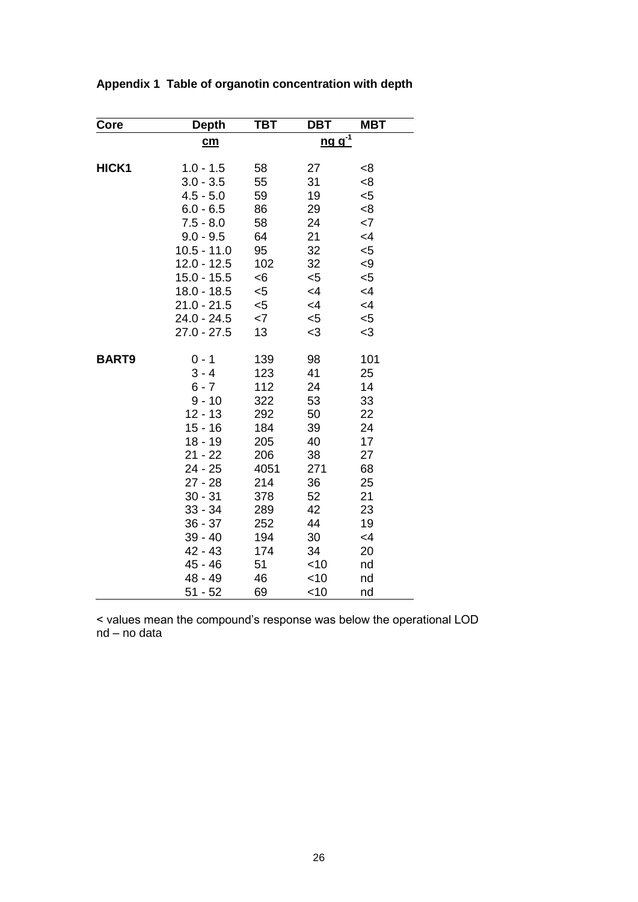| Core         | <b>Depth</b>              | твт   | DBT                                   | <b>MBT</b> |
|--------------|---------------------------|-------|---------------------------------------|------------|
|              | $\underline{\mathbf{cm}}$ |       | $\underline{ng}$ $\underline{g}^{-1}$ |            |
| HICK1        | $1.0 - 1.5$               | 58    | 27                                    | < 8        |
|              | $3.0 - 3.5$               | 55    | 31                                    | < 8        |
|              | $4.5 - 5.0$               | 59    | 19                                    | $5$        |
|              | $6.0 - 6.5$               | 86    | 29                                    | 8<         |
|              | $7.5 - 8.0$               | 58    | 24                                    | $<$ 7      |
|              | $9.0 - 9.5$               | 64    | 21                                    | $\leq$ 4   |
|              | $10.5 - 11.0$             | 95    | 32                                    | $5$        |
|              | $12.0 - 12.5$             | 102   | 32                                    | < 9        |
|              | $15.0 - 15.5$             | < 6   | $<$ 5                                 | $5$        |
|              | $18.0 - 18.5$             | $<$ 5 | $\leq 4$                              | $<$ 4      |
|              | $21.0 - 21.5$             | $<$ 5 | $\leq$ 4                              | $\leq$ 4   |
|              | 24.0 - 24.5               | $<$ 7 | $<$ 5                                 | $5$        |
|              | $27.0 - 27.5$             | 13    | $<$ 3                                 | $<$ 3      |
| <b>BART9</b> | $0 - 1$                   | 139   | 98                                    | 101        |
|              | $3 - 4$                   | 123   | 41                                    | 25         |
|              | $6 - 7$                   | 112   | 24                                    | 14         |
|              | $9 - 10$                  | 322   | 53                                    | 33         |
|              | $12 - 13$                 | 292   | 50                                    | 22         |
|              | $15 - 16$                 | 184   | 39                                    | 24         |
|              | $18 - 19$                 | 205   | 40                                    | 17         |
|              | 21 - 22                   | 206   | 38                                    | 27         |
|              | 24 - 25                   | 4051  | 271                                   | 68         |
|              | 27 - 28                   | 214   | 36                                    | 25         |
|              | $30 - 31$                 | 378   | 52                                    | 21         |
|              | $33 - 34$                 | 289   | 42                                    | 23         |
|              | $36 - 37$                 | 252   | 44                                    | 19         |
|              | 39 - 40                   | 194   | 30                                    | $<$ 4      |
|              | 42 - 43                   | 174   | 34                                    | 20         |
|              | 45 - 46                   | 51    | $<$ 10                                | nd         |
|              | 48 - 49                   | 46    | $<$ 10                                | nd         |
|              | $51 - 52$                 | 69    | $<$ 10                                | nd         |

### **Appendix 1 Table of organotin concentration with depth**

< values mean the compound's response was below the operational LOD nd – no data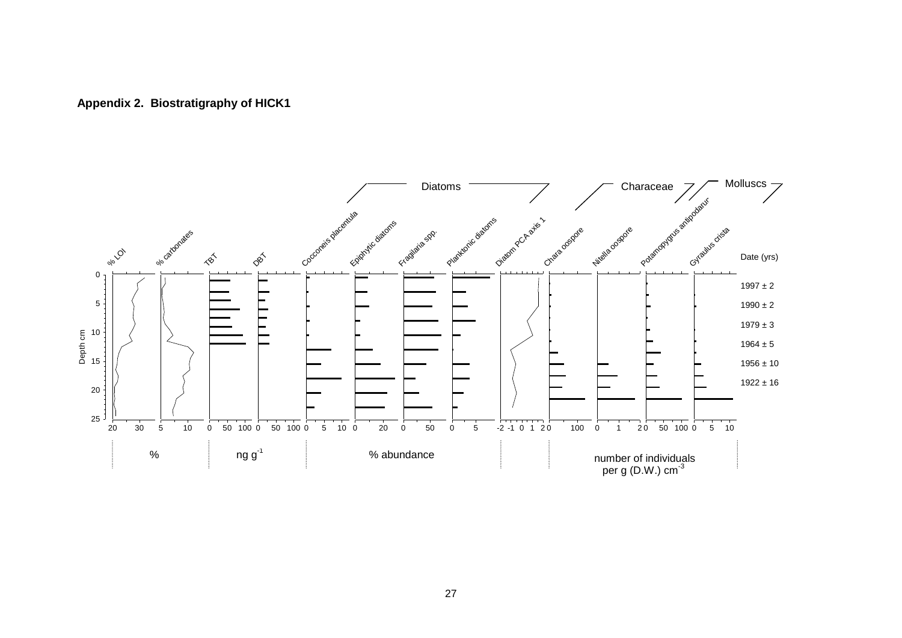